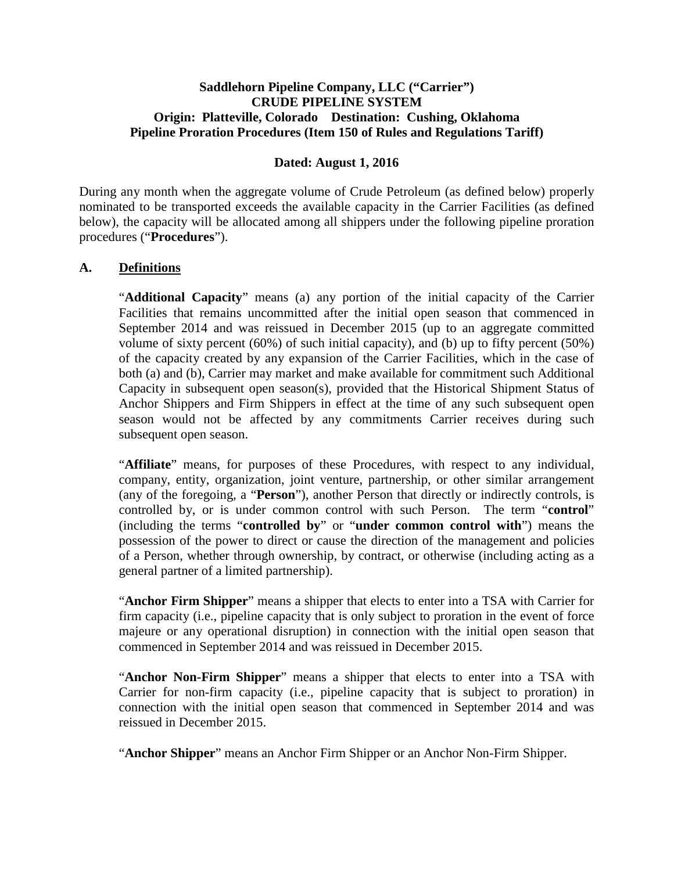## **Saddlehorn Pipeline Company, LLC ("Carrier") CRUDE PIPELINE SYSTEM Origin: Platteville, Colorado Destination: Cushing, Oklahoma Pipeline Proration Procedures (Item 150 of Rules and Regulations Tariff)**

### **Dated: August 1, 2016**

During any month when the aggregate volume of Crude Petroleum (as defined below) properly nominated to be transported exceeds the available capacity in the Carrier Facilities (as defined below), the capacity will be allocated among all shippers under the following pipeline proration procedures ("**Procedures**").

#### **A. Definitions**

"**Additional Capacity**" means (a) any portion of the initial capacity of the Carrier Facilities that remains uncommitted after the initial open season that commenced in September 2014 and was reissued in December 2015 (up to an aggregate committed volume of sixty percent (60%) of such initial capacity), and (b) up to fifty percent (50%) of the capacity created by any expansion of the Carrier Facilities, which in the case of both (a) and (b), Carrier may market and make available for commitment such Additional Capacity in subsequent open season(s), provided that the Historical Shipment Status of Anchor Shippers and Firm Shippers in effect at the time of any such subsequent open season would not be affected by any commitments Carrier receives during such subsequent open season.

"**Affiliate**" means, for purposes of these Procedures, with respect to any individual, company, entity, organization, joint venture, partnership, or other similar arrangement (any of the foregoing, a "**Person**"), another Person that directly or indirectly controls, is controlled by, or is under common control with such Person. The term "**control**" (including the terms "**controlled by**" or "**under common control with**") means the possession of the power to direct or cause the direction of the management and policies of a Person, whether through ownership, by contract, or otherwise (including acting as a general partner of a limited partnership).

"**Anchor Firm Shipper**" means a shipper that elects to enter into a TSA with Carrier for firm capacity (i.e., pipeline capacity that is only subject to proration in the event of force majeure or any operational disruption) in connection with the initial open season that commenced in September 2014 and was reissued in December 2015.

"**Anchor Non-Firm Shipper**" means a shipper that elects to enter into a TSA with Carrier for non-firm capacity (i.e., pipeline capacity that is subject to proration) in connection with the initial open season that commenced in September 2014 and was reissued in December 2015.

"**Anchor Shipper**" means an Anchor Firm Shipper or an Anchor Non-Firm Shipper.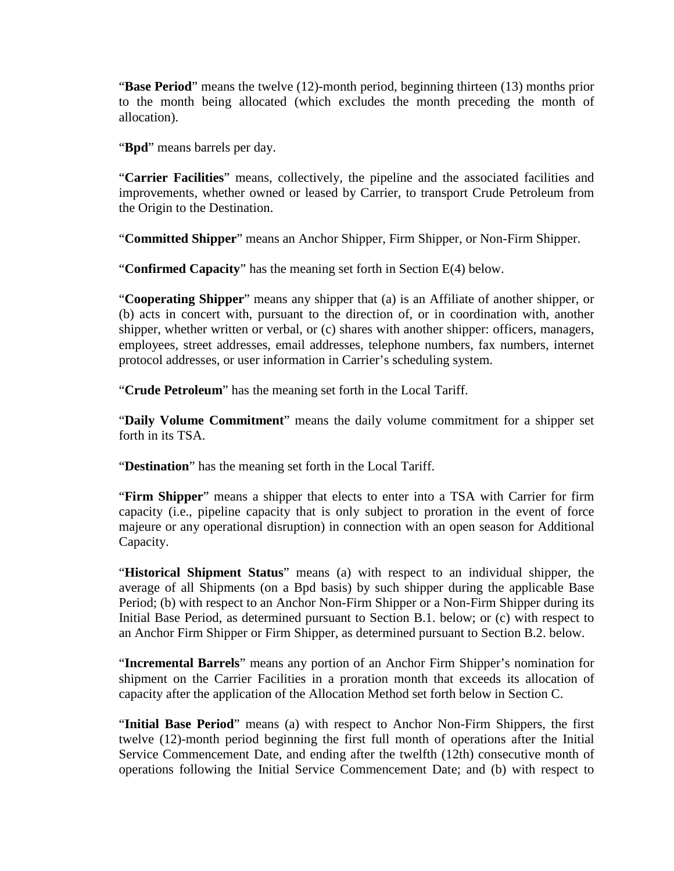"**Base Period**" means the twelve (12)-month period, beginning thirteen (13) months prior to the month being allocated (which excludes the month preceding the month of allocation).

"**Bpd**" means barrels per day.

"**Carrier Facilities**" means, collectively, the pipeline and the associated facilities and improvements, whether owned or leased by Carrier, to transport Crude Petroleum from the Origin to the Destination.

"**Committed Shipper**" means an Anchor Shipper, Firm Shipper, or Non-Firm Shipper.

"**Confirmed Capacity**" has the meaning set forth in Section E(4) below.

"**Cooperating Shipper**" means any shipper that (a) is an Affiliate of another shipper, or (b) acts in concert with, pursuant to the direction of, or in coordination with, another shipper, whether written or verbal, or (c) shares with another shipper: officers, managers, employees, street addresses, email addresses, telephone numbers, fax numbers, internet protocol addresses, or user information in Carrier's scheduling system.

"**Crude Petroleum**" has the meaning set forth in the Local Tariff.

"**Daily Volume Commitment**" means the daily volume commitment for a shipper set forth in its TSA.

"**Destination**" has the meaning set forth in the Local Tariff.

"**Firm Shipper**" means a shipper that elects to enter into a TSA with Carrier for firm capacity (i.e., pipeline capacity that is only subject to proration in the event of force majeure or any operational disruption) in connection with an open season for Additional Capacity.

"**Historical Shipment Status**" means (a) with respect to an individual shipper, the average of all Shipments (on a Bpd basis) by such shipper during the applicable Base Period; (b) with respect to an Anchor Non-Firm Shipper or a Non-Firm Shipper during its Initial Base Period, as determined pursuant to Section B.1. below; or (c) with respect to an Anchor Firm Shipper or Firm Shipper, as determined pursuant to Section B.2. below.

"**Incremental Barrels**" means any portion of an Anchor Firm Shipper's nomination for shipment on the Carrier Facilities in a proration month that exceeds its allocation of capacity after the application of the Allocation Method set forth below in Section C.

"**Initial Base Period**" means (a) with respect to Anchor Non-Firm Shippers, the first twelve (12)-month period beginning the first full month of operations after the Initial Service Commencement Date, and ending after the twelfth (12th) consecutive month of operations following the Initial Service Commencement Date; and (b) with respect to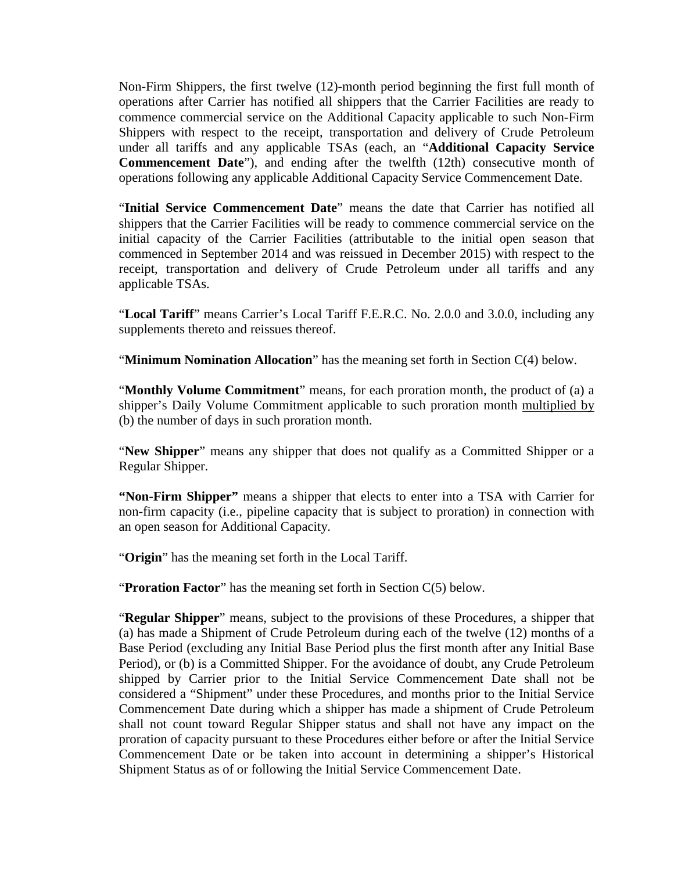Non-Firm Shippers, the first twelve (12)-month period beginning the first full month of operations after Carrier has notified all shippers that the Carrier Facilities are ready to commence commercial service on the Additional Capacity applicable to such Non-Firm Shippers with respect to the receipt, transportation and delivery of Crude Petroleum under all tariffs and any applicable TSAs (each, an "**Additional Capacity Service Commencement Date**"), and ending after the twelfth (12th) consecutive month of operations following any applicable Additional Capacity Service Commencement Date.

"**Initial Service Commencement Date**" means the date that Carrier has notified all shippers that the Carrier Facilities will be ready to commence commercial service on the initial capacity of the Carrier Facilities (attributable to the initial open season that commenced in September 2014 and was reissued in December 2015) with respect to the receipt, transportation and delivery of Crude Petroleum under all tariffs and any applicable TSAs.

"**Local Tariff**" means Carrier's Local Tariff F.E.R.C. No. 2.0.0 and 3.0.0, including any supplements thereto and reissues thereof.

"**Minimum Nomination Allocation**" has the meaning set forth in Section C(4) below.

"**Monthly Volume Commitment**" means, for each proration month, the product of (a) a shipper's Daily Volume Commitment applicable to such proration month multiplied by (b) the number of days in such proration month.

"**New Shipper**" means any shipper that does not qualify as a Committed Shipper or a Regular Shipper.

**"Non-Firm Shipper"** means a shipper that elects to enter into a TSA with Carrier for non-firm capacity (i.e., pipeline capacity that is subject to proration) in connection with an open season for Additional Capacity.

"**Origin**" has the meaning set forth in the Local Tariff.

"**Proration Factor**" has the meaning set forth in Section C(5) below.

"**Regular Shipper**" means, subject to the provisions of these Procedures, a shipper that (a) has made a Shipment of Crude Petroleum during each of the twelve (12) months of a Base Period (excluding any Initial Base Period plus the first month after any Initial Base Period), or (b) is a Committed Shipper. For the avoidance of doubt, any Crude Petroleum shipped by Carrier prior to the Initial Service Commencement Date shall not be considered a "Shipment" under these Procedures, and months prior to the Initial Service Commencement Date during which a shipper has made a shipment of Crude Petroleum shall not count toward Regular Shipper status and shall not have any impact on the proration of capacity pursuant to these Procedures either before or after the Initial Service Commencement Date or be taken into account in determining a shipper's Historical Shipment Status as of or following the Initial Service Commencement Date.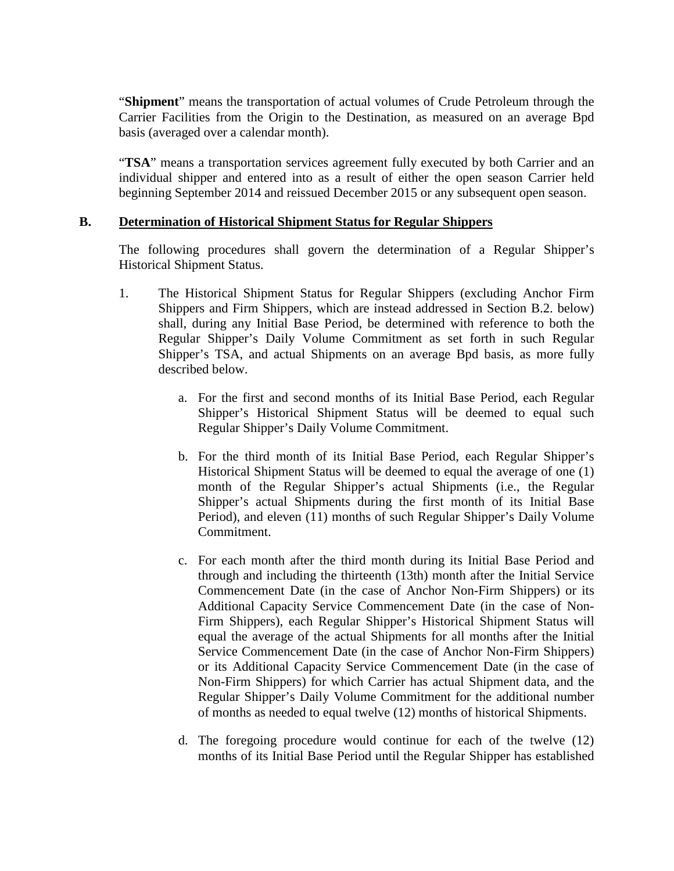"**Shipment**" means the transportation of actual volumes of Crude Petroleum through the Carrier Facilities from the Origin to the Destination, as measured on an average Bpd basis (averaged over a calendar month).

"TSA" means a transportation services agreement fully executed by both Carrier and an individual shipper and entered into as a result of either the open season Carrier held beginning September 2014 and reissued December 2015 or any subsequent open season.

#### **B. Determination of Historical Shipment Status for Regular Shippers**

The following procedures shall govern the determination of a Regular Shipper's Historical Shipment Status.

- 1. The Historical Shipment Status for Regular Shippers (excluding Anchor Firm Shippers and Firm Shippers, which are instead addressed in Section B.2. below) shall, during any Initial Base Period, be determined with reference to both the Regular Shipper's Daily Volume Commitment as set forth in such Regular Shipper's TSA, and actual Shipments on an average Bpd basis, as more fully described below.
	- a. For the first and second months of its Initial Base Period, each Regular Shipper's Historical Shipment Status will be deemed to equal such Regular Shipper's Daily Volume Commitment.
	- b. For the third month of its Initial Base Period, each Regular Shipper's Historical Shipment Status will be deemed to equal the average of one (1) month of the Regular Shipper's actual Shipments (i.e., the Regular Shipper's actual Shipments during the first month of its Initial Base Period), and eleven (11) months of such Regular Shipper's Daily Volume Commitment.
	- c. For each month after the third month during its Initial Base Period and through and including the thirteenth (13th) month after the Initial Service Commencement Date (in the case of Anchor Non-Firm Shippers) or its Additional Capacity Service Commencement Date (in the case of Non-Firm Shippers), each Regular Shipper's Historical Shipment Status will equal the average of the actual Shipments for all months after the Initial Service Commencement Date (in the case of Anchor Non-Firm Shippers) or its Additional Capacity Service Commencement Date (in the case of Non-Firm Shippers) for which Carrier has actual Shipment data, and the Regular Shipper's Daily Volume Commitment for the additional number of months as needed to equal twelve (12) months of historical Shipments.
	- d. The foregoing procedure would continue for each of the twelve (12) months of its Initial Base Period until the Regular Shipper has established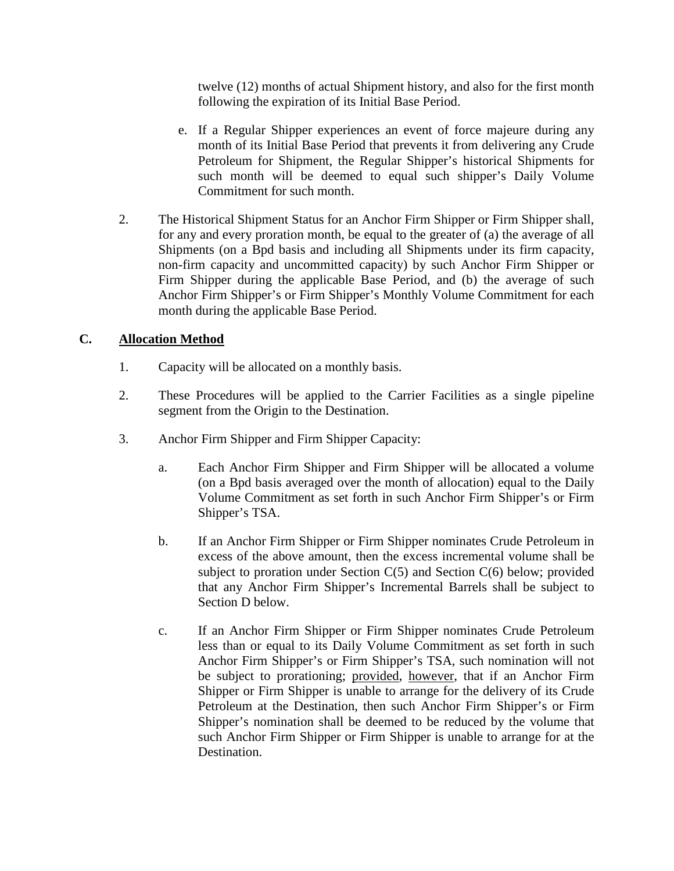twelve (12) months of actual Shipment history, and also for the first month following the expiration of its Initial Base Period.

- e. If a Regular Shipper experiences an event of force majeure during any month of its Initial Base Period that prevents it from delivering any Crude Petroleum for Shipment, the Regular Shipper's historical Shipments for such month will be deemed to equal such shipper's Daily Volume Commitment for such month.
- 2. The Historical Shipment Status for an Anchor Firm Shipper or Firm Shipper shall, for any and every proration month, be equal to the greater of (a) the average of all Shipments (on a Bpd basis and including all Shipments under its firm capacity, non-firm capacity and uncommitted capacity) by such Anchor Firm Shipper or Firm Shipper during the applicable Base Period, and (b) the average of such Anchor Firm Shipper's or Firm Shipper's Monthly Volume Commitment for each month during the applicable Base Period.

# **C. Allocation Method**

- 1. Capacity will be allocated on a monthly basis.
- 2. These Procedures will be applied to the Carrier Facilities as a single pipeline segment from the Origin to the Destination.
- 3. Anchor Firm Shipper and Firm Shipper Capacity:
	- a. Each Anchor Firm Shipper and Firm Shipper will be allocated a volume (on a Bpd basis averaged over the month of allocation) equal to the Daily Volume Commitment as set forth in such Anchor Firm Shipper's or Firm Shipper's TSA.
	- b. If an Anchor Firm Shipper or Firm Shipper nominates Crude Petroleum in excess of the above amount, then the excess incremental volume shall be subject to proration under Section  $C(5)$  and Section  $C(6)$  below; provided that any Anchor Firm Shipper's Incremental Barrels shall be subject to Section D below.
	- c. If an Anchor Firm Shipper or Firm Shipper nominates Crude Petroleum less than or equal to its Daily Volume Commitment as set forth in such Anchor Firm Shipper's or Firm Shipper's TSA, such nomination will not be subject to prorationing; provided, however, that if an Anchor Firm Shipper or Firm Shipper is unable to arrange for the delivery of its Crude Petroleum at the Destination, then such Anchor Firm Shipper's or Firm Shipper's nomination shall be deemed to be reduced by the volume that such Anchor Firm Shipper or Firm Shipper is unable to arrange for at the Destination.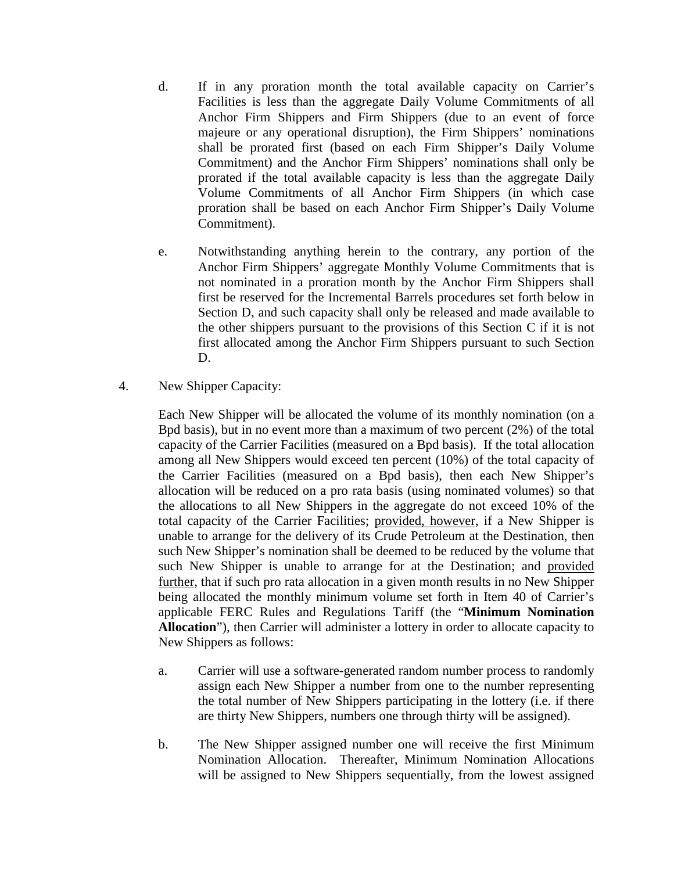- d. If in any proration month the total available capacity on Carrier's Facilities is less than the aggregate Daily Volume Commitments of all Anchor Firm Shippers and Firm Shippers (due to an event of force majeure or any operational disruption), the Firm Shippers' nominations shall be prorated first (based on each Firm Shipper's Daily Volume Commitment) and the Anchor Firm Shippers' nominations shall only be prorated if the total available capacity is less than the aggregate Daily Volume Commitments of all Anchor Firm Shippers (in which case proration shall be based on each Anchor Firm Shipper's Daily Volume Commitment).
- e. Notwithstanding anything herein to the contrary, any portion of the Anchor Firm Shippers' aggregate Monthly Volume Commitments that is not nominated in a proration month by the Anchor Firm Shippers shall first be reserved for the Incremental Barrels procedures set forth below in Section D, and such capacity shall only be released and made available to the other shippers pursuant to the provisions of this Section C if it is not first allocated among the Anchor Firm Shippers pursuant to such Section D.
- 4. New Shipper Capacity:

Each New Shipper will be allocated the volume of its monthly nomination (on a Bpd basis), but in no event more than a maximum of two percent (2%) of the total capacity of the Carrier Facilities (measured on a Bpd basis). If the total allocation among all New Shippers would exceed ten percent (10%) of the total capacity of the Carrier Facilities (measured on a Bpd basis), then each New Shipper's allocation will be reduced on a pro rata basis (using nominated volumes) so that the allocations to all New Shippers in the aggregate do not exceed 10% of the total capacity of the Carrier Facilities; provided, however, if a New Shipper is unable to arrange for the delivery of its Crude Petroleum at the Destination, then such New Shipper's nomination shall be deemed to be reduced by the volume that such New Shipper is unable to arrange for at the Destination; and provided further, that if such pro rata allocation in a given month results in no New Shipper being allocated the monthly minimum volume set forth in Item 40 of Carrier's applicable FERC Rules and Regulations Tariff (the "**Minimum Nomination Allocation**"), then Carrier will administer a lottery in order to allocate capacity to New Shippers as follows:

- a. Carrier will use a software-generated random number process to randomly assign each New Shipper a number from one to the number representing the total number of New Shippers participating in the lottery (i.e. if there are thirty New Shippers, numbers one through thirty will be assigned).
- b. The New Shipper assigned number one will receive the first Minimum Nomination Allocation. Thereafter, Minimum Nomination Allocations will be assigned to New Shippers sequentially, from the lowest assigned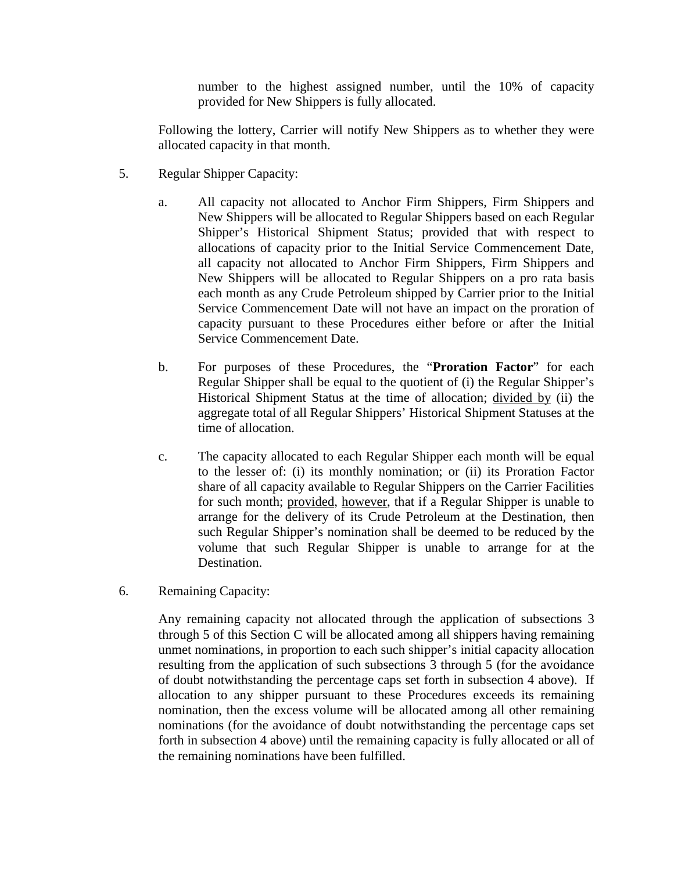number to the highest assigned number, until the 10% of capacity provided for New Shippers is fully allocated.

Following the lottery, Carrier will notify New Shippers as to whether they were allocated capacity in that month.

- 5. Regular Shipper Capacity:
	- a. All capacity not allocated to Anchor Firm Shippers, Firm Shippers and New Shippers will be allocated to Regular Shippers based on each Regular Shipper's Historical Shipment Status; provided that with respect to allocations of capacity prior to the Initial Service Commencement Date, all capacity not allocated to Anchor Firm Shippers, Firm Shippers and New Shippers will be allocated to Regular Shippers on a pro rata basis each month as any Crude Petroleum shipped by Carrier prior to the Initial Service Commencement Date will not have an impact on the proration of capacity pursuant to these Procedures either before or after the Initial Service Commencement Date.
	- b. For purposes of these Procedures, the "**Proration Factor**" for each Regular Shipper shall be equal to the quotient of (i) the Regular Shipper's Historical Shipment Status at the time of allocation; divided by (ii) the aggregate total of all Regular Shippers' Historical Shipment Statuses at the time of allocation.
	- c. The capacity allocated to each Regular Shipper each month will be equal to the lesser of: (i) its monthly nomination; or (ii) its Proration Factor share of all capacity available to Regular Shippers on the Carrier Facilities for such month; provided, however, that if a Regular Shipper is unable to arrange for the delivery of its Crude Petroleum at the Destination, then such Regular Shipper's nomination shall be deemed to be reduced by the volume that such Regular Shipper is unable to arrange for at the Destination.
- 6. Remaining Capacity:

Any remaining capacity not allocated through the application of subsections 3 through 5 of this Section C will be allocated among all shippers having remaining unmet nominations, in proportion to each such shipper's initial capacity allocation resulting from the application of such subsections 3 through 5 (for the avoidance of doubt notwithstanding the percentage caps set forth in subsection 4 above). If allocation to any shipper pursuant to these Procedures exceeds its remaining nomination, then the excess volume will be allocated among all other remaining nominations (for the avoidance of doubt notwithstanding the percentage caps set forth in subsection 4 above) until the remaining capacity is fully allocated or all of the remaining nominations have been fulfilled.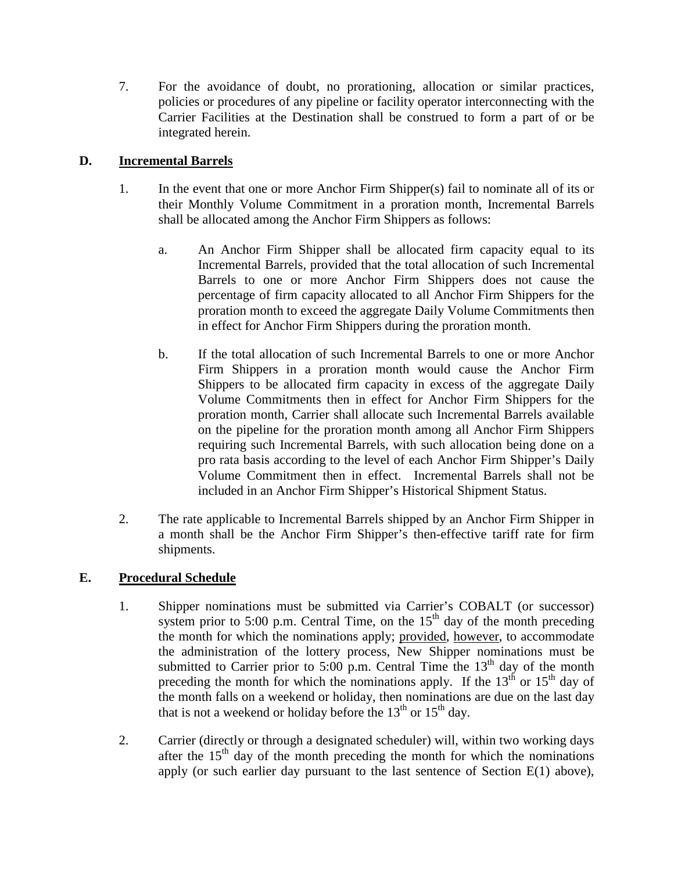7. For the avoidance of doubt, no prorationing, allocation or similar practices, policies or procedures of any pipeline or facility operator interconnecting with the Carrier Facilities at the Destination shall be construed to form a part of or be integrated herein.

# **D. Incremental Barrels**

- 1. In the event that one or more Anchor Firm Shipper(s) fail to nominate all of its or their Monthly Volume Commitment in a proration month, Incremental Barrels shall be allocated among the Anchor Firm Shippers as follows:
	- a. An Anchor Firm Shipper shall be allocated firm capacity equal to its Incremental Barrels, provided that the total allocation of such Incremental Barrels to one or more Anchor Firm Shippers does not cause the percentage of firm capacity allocated to all Anchor Firm Shippers for the proration month to exceed the aggregate Daily Volume Commitments then in effect for Anchor Firm Shippers during the proration month.
	- b. If the total allocation of such Incremental Barrels to one or more Anchor Firm Shippers in a proration month would cause the Anchor Firm Shippers to be allocated firm capacity in excess of the aggregate Daily Volume Commitments then in effect for Anchor Firm Shippers for the proration month, Carrier shall allocate such Incremental Barrels available on the pipeline for the proration month among all Anchor Firm Shippers requiring such Incremental Barrels, with such allocation being done on a pro rata basis according to the level of each Anchor Firm Shipper's Daily Volume Commitment then in effect. Incremental Barrels shall not be included in an Anchor Firm Shipper's Historical Shipment Status.
- 2. The rate applicable to Incremental Barrels shipped by an Anchor Firm Shipper in a month shall be the Anchor Firm Shipper's then-effective tariff rate for firm shipments.

# **E. Procedural Schedule**

- 1. Shipper nominations must be submitted via Carrier's COBALT (or successor) system prior to 5:00 p.m. Central Time, on the  $15<sup>th</sup>$  day of the month preceding the month for which the nominations apply; provided, however, to accommodate the administration of the lottery process, New Shipper nominations must be submitted to Carrier prior to 5:00 p.m. Central Time the  $13<sup>th</sup>$  day of the month preceding the month for which the nominations apply. If the  $13<sup>th</sup>$  or  $15<sup>th</sup>$  day of the month falls on a weekend or holiday, then nominations are due on the last day that is not a weekend or holiday before the  $13<sup>th</sup>$  or  $15<sup>th</sup>$  day.
- 2. Carrier (directly or through a designated scheduler) will, within two working days after the  $15<sup>th</sup>$  day of the month preceding the month for which the nominations apply (or such earlier day pursuant to the last sentence of Section E(1) above),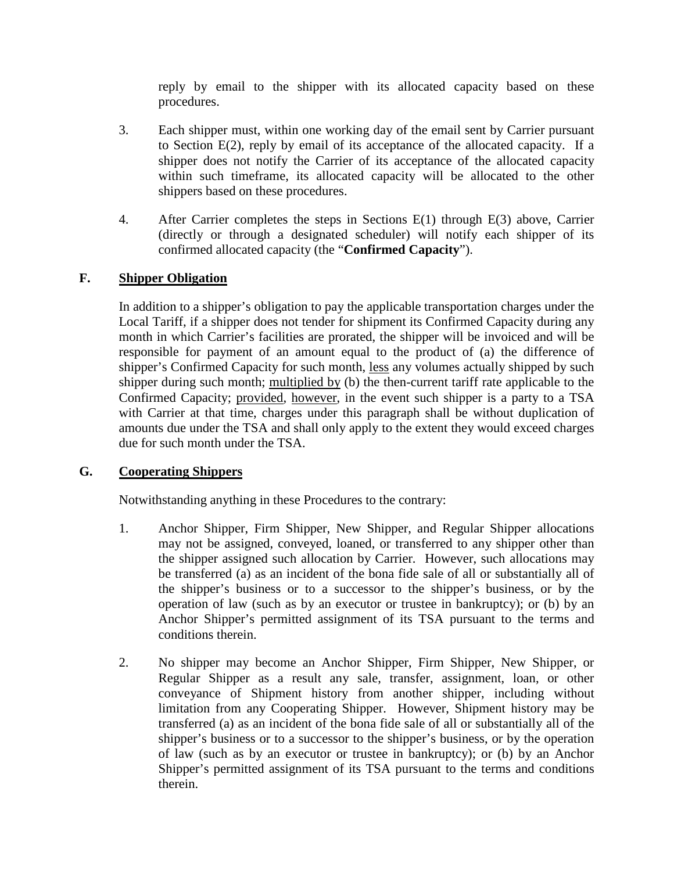reply by email to the shipper with its allocated capacity based on these procedures.

- 3. Each shipper must, within one working day of the email sent by Carrier pursuant to Section E(2), reply by email of its acceptance of the allocated capacity. If a shipper does not notify the Carrier of its acceptance of the allocated capacity within such timeframe, its allocated capacity will be allocated to the other shippers based on these procedures.
- 4. After Carrier completes the steps in Sections E(1) through E(3) above, Carrier (directly or through a designated scheduler) will notify each shipper of its confirmed allocated capacity (the "**Confirmed Capacity**").

# **F. Shipper Obligation**

In addition to a shipper's obligation to pay the applicable transportation charges under the Local Tariff, if a shipper does not tender for shipment its Confirmed Capacity during any month in which Carrier's facilities are prorated, the shipper will be invoiced and will be responsible for payment of an amount equal to the product of (a) the difference of shipper's Confirmed Capacity for such month, less any volumes actually shipped by such shipper during such month; multiplied by (b) the then-current tariff rate applicable to the Confirmed Capacity; provided, however, in the event such shipper is a party to a TSA with Carrier at that time, charges under this paragraph shall be without duplication of amounts due under the TSA and shall only apply to the extent they would exceed charges due for such month under the TSA.

# **G. Cooperating Shippers**

Notwithstanding anything in these Procedures to the contrary:

- 1. Anchor Shipper, Firm Shipper, New Shipper, and Regular Shipper allocations may not be assigned, conveyed, loaned, or transferred to any shipper other than the shipper assigned such allocation by Carrier. However, such allocations may be transferred (a) as an incident of the bona fide sale of all or substantially all of the shipper's business or to a successor to the shipper's business, or by the operation of law (such as by an executor or trustee in bankruptcy); or (b) by an Anchor Shipper's permitted assignment of its TSA pursuant to the terms and conditions therein.
- 2. No shipper may become an Anchor Shipper, Firm Shipper, New Shipper, or Regular Shipper as a result any sale, transfer, assignment, loan, or other conveyance of Shipment history from another shipper, including without limitation from any Cooperating Shipper. However, Shipment history may be transferred (a) as an incident of the bona fide sale of all or substantially all of the shipper's business or to a successor to the shipper's business, or by the operation of law (such as by an executor or trustee in bankruptcy); or (b) by an Anchor Shipper's permitted assignment of its TSA pursuant to the terms and conditions therein.